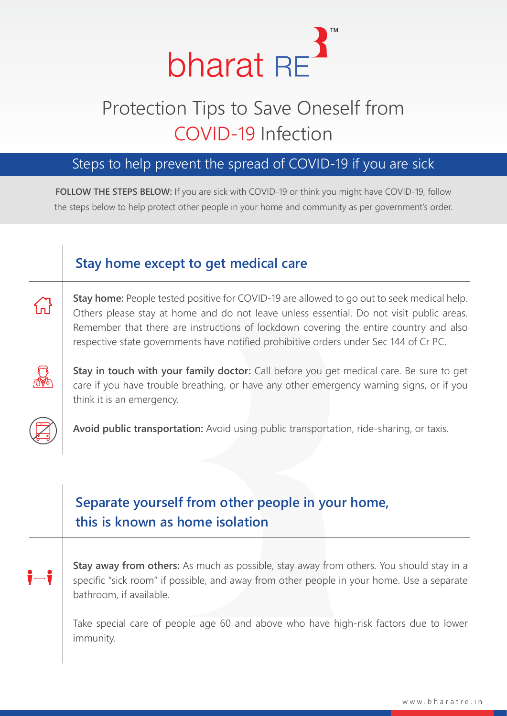

# Protection Tips to Save Oneself from COVID-19 Infection

### Steps to help prevent the spread of COVID-19 if you are sick

**FOLLOW THE STEPS BELOW:** If you are sick with COVID-19 or think you might have COVID-19, follow the steps below to help protect other people in your home and community as per government's order.

#### **Stay home except to get medical care**

备

**Stay home:** People tested positive for COVID-19 are allowed to go out to seek medical help. Others please stay at home and do not leave unless essential. Do not visit public areas. Remember that there are instructions of lockdown covering the entire country and also respective state governments have notified prohibitive orders under Sec 144 of Cr PC.



**Stay in touch with your family doctor:** Call before you get medical care. Be sure to get care if you have trouble breathing, or have any other emergency warning signs, or if you think it is an emergency.



**Avoid public transportation:** Avoid using public transportation, ride-sharing, or taxis.

## **Separate yourself from other people in your home, this is known as home isolation**

**Stay away from others:** As much as possible, stay away from others. You should stay in a specific "sick room" if possible, and away from other people in your home. Use a separate bathroom, if available.

Take special care of people age 60 and above who have high-risk factors due to lower immunity.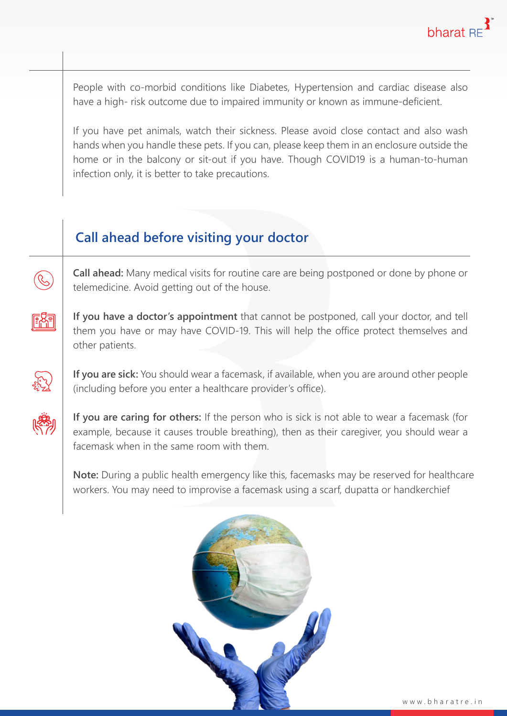People with co-morbid conditions like Diabetes, Hypertension and cardiac disease also have a high- risk outcome due to impaired immunity or known as immune-deficient.

If you have pet animals, watch their sickness. Please avoid close contact and also wash hands when you handle these pets. If you can, please keep them in an enclosure outside the home or in the balcony or sit-out if you have. Though COVID19 is a human-to-human infection only, it is better to take precautions.

## **Call ahead before visiting your doctor**

**Call ahead:** Many medical visits for routine care are being postponed or done by phone or telemedicine. Avoid getting out of the house.



 $\bigotimes$ 

**If you have a doctor's appointment** that cannot be postponed, call your doctor, and tell them you have or may have COVID-19. This will help the office protect themselves and other patients.

**If you are sick:** You should wear a facemask, if available, when you are around other people (including before you enter a healthcare provider's office).



**If you are caring for others:** If the person who is sick is not able to wear a facemask (for example, because it causes trouble breathing), then as their caregiver, you should wear a facemask when in the same room with them.

**Note:** During a public health emergency like this, facemasks may be reserved for healthcare workers. You may need to improvise a facemask using a scarf, dupatta or handkerchief

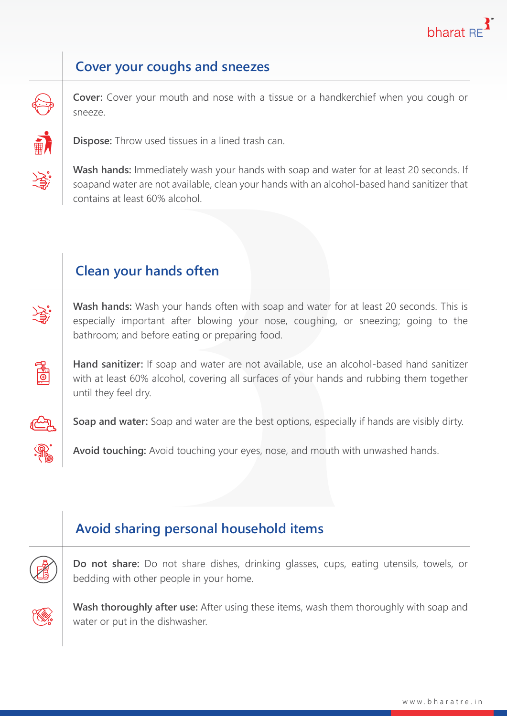

#### **Cover your coughs and sneezes**

**Cover:** Cover your mouth and nose with a tissue or a handkerchief when you cough or sneeze.



**Dispose:** Throw used tissues in a lined trash can.

**Wash hands:** Immediately wash your hands with soap and water for at least 20 seconds. If soapand water are not available, clean your hands with an alcohol-based hand sanitizer that contains at least 60% alcohol.

#### **Clean your hands often**

**Wash hands:** Wash your hands often with soap and water for at least 20 seconds. This is especially important after blowing your nose, coughing, or sneezing; going to the bathroom; and before eating or preparing food.

**Hand sanitizer:** If soap and water are not available, use an alcohol-based hand sanitizer with at least 60% alcohol, covering all surfaces of your hands and rubbing them together until they feel dry.



**ENEL**:

**Soap and water:** Soap and water are the best options, especially if hands are visibly dirty.

**Avoid touching:** Avoid touching your eyes, nose, and mouth with unwashed hands.

#### **Avoid sharing personal household items**

**Do not share:** Do not share dishes, drinking glasses, cups, eating utensils, towels, or bedding with other people in your home.



**Wash thoroughly after use:** After using these items, wash them thoroughly with soap and water or put in the dishwasher.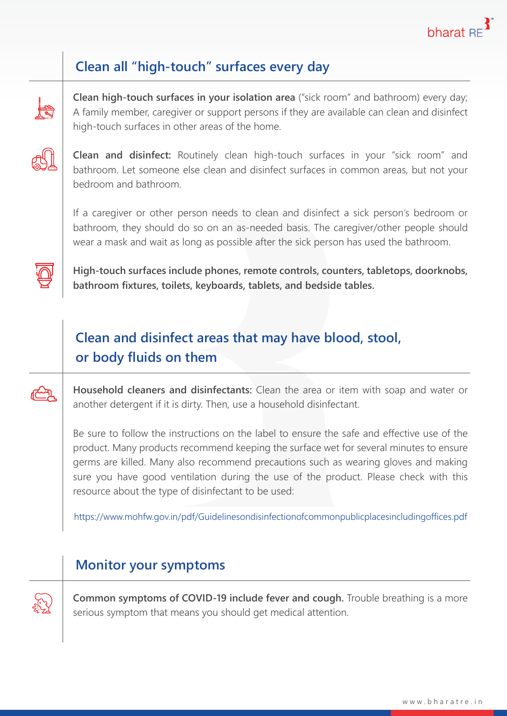

### **Clean all "high-touch" surfaces every day**



**Clean high-touch surfaces in your isolation area** ("sick room" and bathroom) every day; A family member, caregiver or support persons if they are available can clean and disinfect high-touch surfaces in other areas of the home.



**Clean and disinfect:** Routinely clean high-touch surfaces in your "sick room" and bathroom. Let someone else clean and disinfect surfaces in common areas, but not your bedroom and bathroom.

If a caregiver or other person needs to clean and disinfect a sick person's bedroom or bathroom, they should do so on an as-needed basis. The caregiver/other people should wear a mask and wait as long as possible after the sick person has used the bathroom.



**High-touch surfaces include phones, remote controls, counters, tabletops, doorknobs, bathroom fixtures, toilets, keyboards, tablets, and bedside tables.**

## **Clean and disinfect areas that may have blood, stool, or body fluids on them**

**Household cleaners and disinfectants:** Clean the area or item with soap and water or another detergent if it is dirty. Then, use a household disinfectant.

Be sure to follow the instructions on the label to ensure the safe and effective use of the product. Many products recommend keeping the surface wet for several minutes to ensure germs are killed. Many also recommend precautions such as wearing gloves and making sure you have good ventilation during the use of the product. Please check with this resource about the type of disinfectant to be used:

https://www.mohfw.gov.in/pdf/Guidelinesondisinfectionofcommonpublicplacesincludingoffices.pdf

#### **Monitor your symptoms**



**Common symptoms of COVID-19 include fever and cough.** Trouble breathing is a more serious symptom that means you should get medical attention.